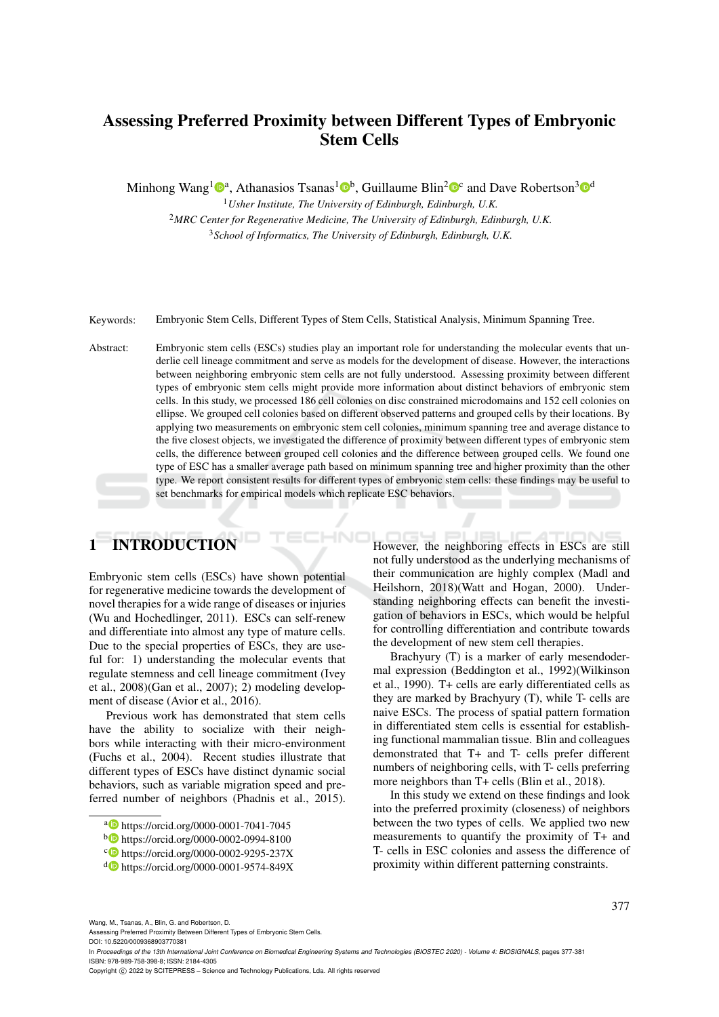# Assessing Preferred Proximity between Different Types of Embryonic Stem Cells

Minhong Wang<sup>1</sup><sup>®</sup><sup>a</sup>, Athanasios Tsanas<sup>1</sup><sup>®</sup>, Guillaume Blin<sup>2</sup><sup>®</sup> and Dave Robertson<sup>3</sup><sup>®</sup>

<sup>1</sup>*Usher Institute, The University of Edinburgh, Edinburgh, U.K.* <sup>2</sup>*MRC Center for Regenerative Medicine, The University of Edinburgh, Edinburgh, U.K.* <sup>3</sup>*School of Informatics, The University of Edinburgh, Edinburgh, U.K.*

Keywords: Embryonic Stem Cells, Different Types of Stem Cells, Statistical Analysis, Minimum Spanning Tree.

Abstract: Embryonic stem cells (ESCs) studies play an important role for understanding the molecular events that underlie cell lineage commitment and serve as models for the development of disease. However, the interactions between neighboring embryonic stem cells are not fully understood. Assessing proximity between different types of embryonic stem cells might provide more information about distinct behaviors of embryonic stem cells. In this study, we processed 186 cell colonies on disc constrained microdomains and 152 cell colonies on ellipse. We grouped cell colonies based on different observed patterns and grouped cells by their locations. By applying two measurements on embryonic stem cell colonies, minimum spanning tree and average distance to the five closest objects, we investigated the difference of proximity between different types of embryonic stem cells, the difference between grouped cell colonies and the difference between grouped cells. We found one type of ESC has a smaller average path based on minimum spanning tree and higher proximity than the other type. We report consistent results for different types of embryonic stem cells: these findings may be useful to set benchmarks for empirical models which replicate ESC behaviors.

# 1 INTRODUCTION

Embryonic stem cells (ESCs) have shown potential for regenerative medicine towards the development of novel therapies for a wide range of diseases or injuries (Wu and Hochedlinger, 2011). ESCs can self-renew and differentiate into almost any type of mature cells. Due to the special properties of ESCs, they are useful for: 1) understanding the molecular events that regulate stemness and cell lineage commitment (Ivey et al., 2008)(Gan et al., 2007); 2) modeling development of disease (Avior et al., 2016).

Previous work has demonstrated that stem cells have the ability to socialize with their neighbors while interacting with their micro-environment (Fuchs et al., 2004). Recent studies illustrate that different types of ESCs have distinct dynamic social behaviors, such as variable migration speed and preferred number of neighbors (Phadnis et al., 2015).

However, the neighboring effects in ESCs are still not fully understood as the underlying mechanisms of their communication are highly complex (Madl and Heilshorn, 2018)(Watt and Hogan, 2000). Understanding neighboring effects can benefit the investigation of behaviors in ESCs, which would be helpful for controlling differentiation and contribute towards the development of new stem cell therapies.

Brachyury (T) is a marker of early mesendodermal expression (Beddington et al., 1992)(Wilkinson et al., 1990). T+ cells are early differentiated cells as they are marked by Brachyury (T), while T- cells are naive ESCs. The process of spatial pattern formation in differentiated stem cells is essential for establishing functional mammalian tissue. Blin and colleagues demonstrated that T+ and T- cells prefer different numbers of neighboring cells, with T- cells preferring more neighbors than T+ cells (Blin et al., 2018).

In this study we extend on these findings and look into the preferred proximity (closeness) of neighbors between the two types of cells. We applied two new measurements to quantify the proximity of T+ and T- cells in ESC colonies and assess the difference of proximity within different patterning constraints.

Wang, M., Tsanas, A., Blin, G. and Robertson, D.

Assessing Preferred Proximity Between Different Types of Embryonic Stem Cells.

DOI: 10.5220/0009368903770381

In *Proceedings of the 13th International Joint Conference on Biomedical Engineering Systems and Technologies (BIOSTEC 2020) - Volume 4: BIOSIGNALS*, pages 377-381 ISBN: 978-989-758-398-8; ISSN: 2184-4305

377

a https://orcid.org/0000-0001-7041-7045

<sup>b</sup> https://orcid.org/0000-0002-0994-8100

c https://orcid.org/0000-0002-9295-237X

<sup>d</sup> https://orcid.org/0000-0001-9574-849X

Copyright (C) 2022 by SCITEPRESS - Science and Technology Publications, Lda. All rights reserved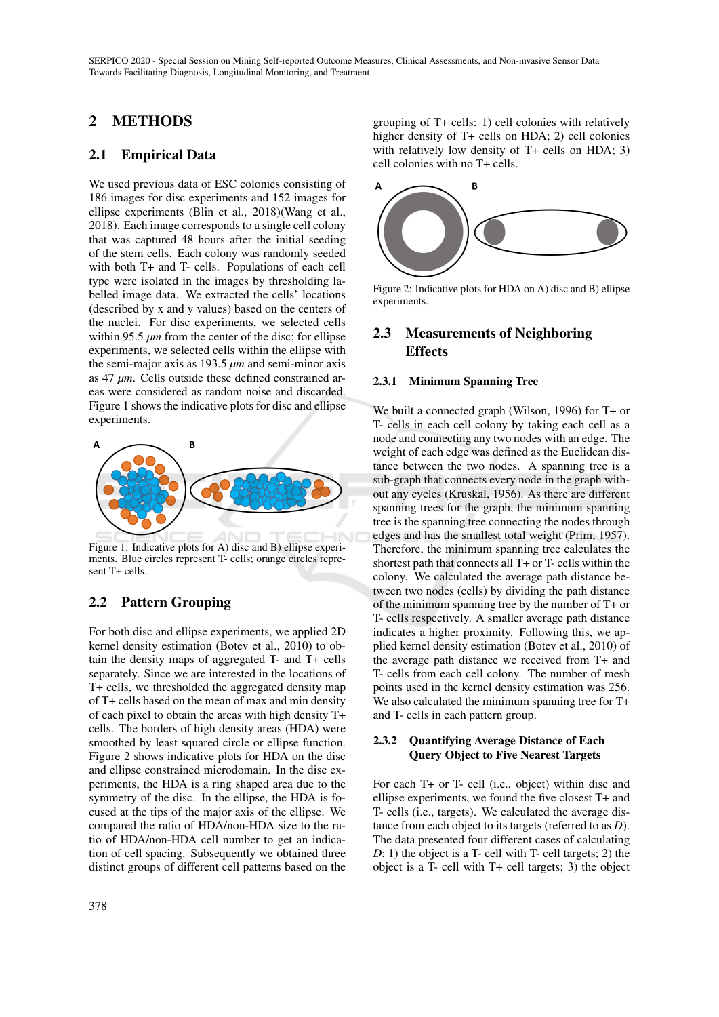SERPICO 2020 - Special Session on Mining Self-reported Outcome Measures, Clinical Assessments, and Non-invasive Sensor Data Towards Facilitating Diagnosis, Longitudinal Monitoring, and Treatment

# 2 METHODS

## 2.1 Empirical Data

We used previous data of ESC colonies consisting of 186 images for disc experiments and 152 images for ellipse experiments (Blin et al., 2018)(Wang et al., 2018). Each image corresponds to a single cell colony that was captured 48 hours after the initial seeding of the stem cells. Each colony was randomly seeded with both T+ and T- cells. Populations of each cell type were isolated in the images by thresholding labelled image data. We extracted the cells' locations (described by x and y values) based on the centers of the nuclei. For disc experiments, we selected cells within 95.5  $\mu$ m from the center of the disc; for ellipse experiments, we selected cells within the ellipse with the semi-major axis as 193.5 *µm* and semi-minor axis as 47 *µm*. Cells outside these defined constrained areas were considered as random noise and discarded. Figure 1 shows the indicative plots for disc and ellipse experiments.



Figure 1: Indicative plots for A) disc and B) ellipse experiments. Blue circles represent T- cells; orange circles represent T+ cells.

## 2.2 Pattern Grouping

For both disc and ellipse experiments, we applied 2D kernel density estimation (Botev et al., 2010) to obtain the density maps of aggregated T- and T+ cells separately. Since we are interested in the locations of T+ cells, we thresholded the aggregated density map of T+ cells based on the mean of max and min density of each pixel to obtain the areas with high density T+ cells. The borders of high density areas (HDA) were smoothed by least squared circle or ellipse function. Figure 2 shows indicative plots for HDA on the disc and ellipse constrained microdomain. In the disc experiments, the HDA is a ring shaped area due to the symmetry of the disc. In the ellipse, the HDA is focused at the tips of the major axis of the ellipse. We compared the ratio of HDA/non-HDA size to the ratio of HDA/non-HDA cell number to get an indication of cell spacing. Subsequently we obtained three distinct groups of different cell patterns based on the

grouping of T+ cells: 1) cell colonies with relatively higher density of T+ cells on HDA; 2) cell colonies with relatively low density of T+ cells on HDA; 3) cell colonies with no T+ cells.



Figure 2: Indicative plots for HDA on A) disc and B) ellipse experiments.

## 2.3 Measurements of Neighboring **Effects**

#### 2.3.1 Minimum Spanning Tree

We built a connected graph (Wilson, 1996) for T+ or T- cells in each cell colony by taking each cell as a node and connecting any two nodes with an edge. The weight of each edge was defined as the Euclidean distance between the two nodes. A spanning tree is a sub-graph that connects every node in the graph without any cycles (Kruskal, 1956). As there are different spanning trees for the graph, the minimum spanning tree is the spanning tree connecting the nodes through edges and has the smallest total weight (Prim, 1957). Therefore, the minimum spanning tree calculates the shortest path that connects all T+ or T- cells within the colony. We calculated the average path distance between two nodes (cells) by dividing the path distance of the minimum spanning tree by the number of T+ or T- cells respectively. A smaller average path distance indicates a higher proximity. Following this, we applied kernel density estimation (Botev et al., 2010) of the average path distance we received from T+ and T- cells from each cell colony. The number of mesh points used in the kernel density estimation was 256. We also calculated the minimum spanning tree for  $T+$ and T- cells in each pattern group.

#### 2.3.2 Quantifying Average Distance of Each Query Object to Five Nearest Targets

For each T+ or T- cell (i.e., object) within disc and ellipse experiments, we found the five closest T+ and T- cells (i.e., targets). We calculated the average distance from each object to its targets (referred to as *D*). The data presented four different cases of calculating *D*: 1) the object is a T- cell with T- cell targets; 2) the object is a T- cell with T+ cell targets; 3) the object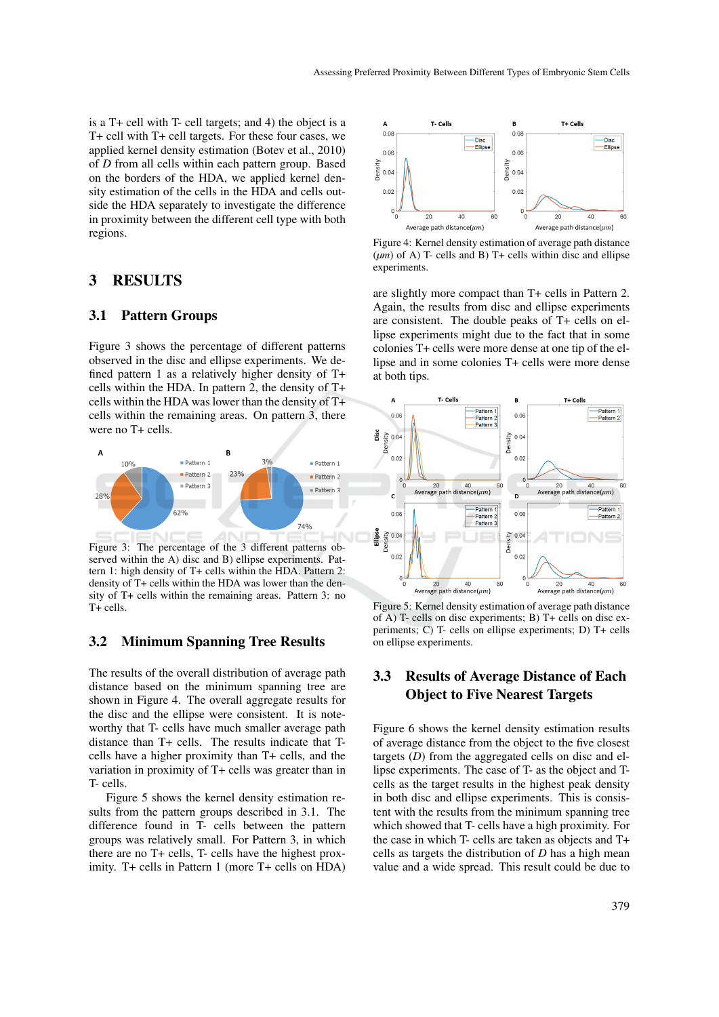is a T+ cell with T- cell targets; and 4) the object is a T+ cell with T+ cell targets. For these four cases, we applied kernel density estimation (Botev et al., 2010) of *D* from all cells within each pattern group. Based on the borders of the HDA, we applied kernel density estimation of the cells in the HDA and cells outside the HDA separately to investigate the difference in proximity between the different cell type with both regions.

#### 3 RESULTS

#### 3.1 Pattern Groups

Figure 3 shows the percentage of different patterns observed in the disc and ellipse experiments. We defined pattern 1 as a relatively higher density of T+ cells within the HDA. In pattern 2, the density of T+ cells within the HDA was lower than the density of T+ cells within the remaining areas. On pattern 3, there were no T+ cells.



Figure 3: The percentage of the 3 different patterns observed within the A) disc and B) ellipse experiments. Pattern 1: high density of T+ cells within the HDA. Pattern 2: density of T+ cells within the HDA was lower than the density of T+ cells within the remaining areas. Pattern 3: no T+ cells.

### 3.2 Minimum Spanning Tree Results

The results of the overall distribution of average path distance based on the minimum spanning tree are shown in Figure 4. The overall aggregate results for the disc and the ellipse were consistent. It is noteworthy that T- cells have much smaller average path distance than T+ cells. The results indicate that Tcells have a higher proximity than T+ cells, and the variation in proximity of T+ cells was greater than in T- cells.

Figure 5 shows the kernel density estimation results from the pattern groups described in 3.1. The difference found in T- cells between the pattern groups was relatively small. For Pattern 3, in which there are no T+ cells, T- cells have the highest proximity. T+ cells in Pattern 1 (more T+ cells on HDA)



Figure 4: Kernel density estimation of average path distance (*µm*) of A) T- cells and B) T+ cells within disc and ellipse experiments.

are slightly more compact than T+ cells in Pattern 2. Again, the results from disc and ellipse experiments are consistent. The double peaks of T+ cells on ellipse experiments might due to the fact that in some colonies T+ cells were more dense at one tip of the ellipse and in some colonies T+ cells were more dense at both tips.



Figure 5: Kernel density estimation of average path distance of A) T- cells on disc experiments; B) T+ cells on disc experiments; C) T- cells on ellipse experiments; D) T+ cells on ellipse experiments.

## 3.3 Results of Average Distance of Each Object to Five Nearest Targets

Figure 6 shows the kernel density estimation results of average distance from the object to the five closest targets (*D*) from the aggregated cells on disc and ellipse experiments. The case of T- as the object and Tcells as the target results in the highest peak density in both disc and ellipse experiments. This is consistent with the results from the minimum spanning tree which showed that T- cells have a high proximity. For the case in which T- cells are taken as objects and T+ cells as targets the distribution of *D* has a high mean value and a wide spread. This result could be due to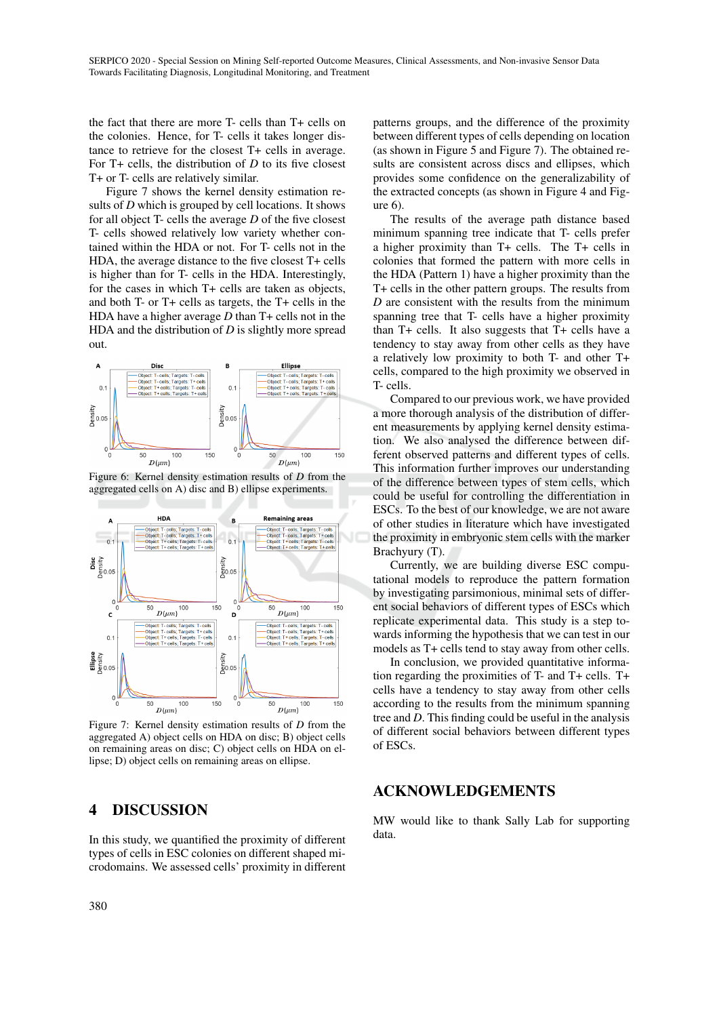the fact that there are more T- cells than T+ cells on the colonies. Hence, for T- cells it takes longer distance to retrieve for the closest T+ cells in average. For T+ cells, the distribution of *D* to its five closest T+ or T- cells are relatively similar.

Figure 7 shows the kernel density estimation results of *D* which is grouped by cell locations. It shows for all object T- cells the average *D* of the five closest T- cells showed relatively low variety whether contained within the HDA or not. For T- cells not in the HDA, the average distance to the five closest T+ cells is higher than for T- cells in the HDA. Interestingly, for the cases in which T+ cells are taken as objects, and both T- or T+ cells as targets, the T+ cells in the HDA have a higher average *D* than T+ cells not in the HDA and the distribution of *D* is slightly more spread out.



Figure 6: Kernel density estimation results of *D* from the aggregated cells on A) disc and B) ellipse experiments.



Figure 7: Kernel density estimation results of *D* from the aggregated A) object cells on HDA on disc; B) object cells on remaining areas on disc; C) object cells on HDA on ellipse; D) object cells on remaining areas on ellipse.

## 4 DISCUSSION

In this study, we quantified the proximity of different types of cells in ESC colonies on different shaped microdomains. We assessed cells' proximity in different

patterns groups, and the difference of the proximity between different types of cells depending on location (as shown in Figure 5 and Figure 7). The obtained results are consistent across discs and ellipses, which provides some confidence on the generalizability of the extracted concepts (as shown in Figure 4 and Figure 6).

The results of the average path distance based minimum spanning tree indicate that T- cells prefer a higher proximity than T+ cells. The T+ cells in colonies that formed the pattern with more cells in the HDA (Pattern 1) have a higher proximity than the T+ cells in the other pattern groups. The results from *D* are consistent with the results from the minimum spanning tree that T- cells have a higher proximity than T+ cells. It also suggests that T+ cells have a tendency to stay away from other cells as they have a relatively low proximity to both T- and other T+ cells, compared to the high proximity we observed in T- cells.

Compared to our previous work, we have provided a more thorough analysis of the distribution of different measurements by applying kernel density estimation. We also analysed the difference between different observed patterns and different types of cells. This information further improves our understanding of the difference between types of stem cells, which could be useful for controlling the differentiation in ESCs. To the best of our knowledge, we are not aware of other studies in literature which have investigated the proximity in embryonic stem cells with the marker Brachyury (T).

Currently, we are building diverse ESC computational models to reproduce the pattern formation by investigating parsimonious, minimal sets of different social behaviors of different types of ESCs which replicate experimental data. This study is a step towards informing the hypothesis that we can test in our models as T+ cells tend to stay away from other cells.

In conclusion, we provided quantitative information regarding the proximities of T- and T+ cells. T+ cells have a tendency to stay away from other cells according to the results from the minimum spanning tree and *D*. This finding could be useful in the analysis of different social behaviors between different types of ESCs.

## ACKNOWLEDGEMENTS

MW would like to thank Sally Lab for supporting data.